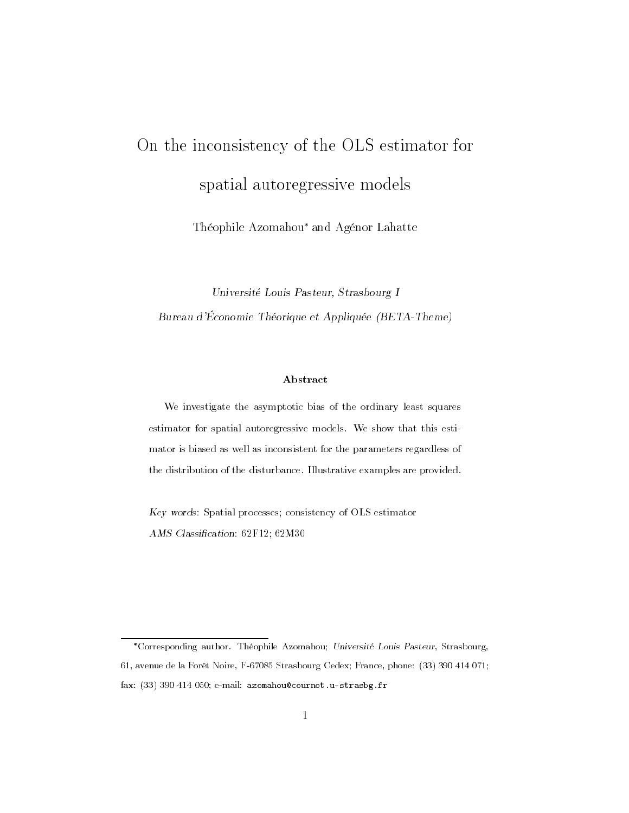# On the inconsistency of the OLS estimator forspatial autoregressive models

Théophile Azomahou\* and Agénor Lahatte

Université Louis Pasteur, Strasbourg I Bureau d'Économie Théorique et Appliquée (BETA-Theme)

#### Abstract

We investigate the asymptotic bias of the ordinary least squaresestimator for spatial autoregressive models. We show that this estimator is biased as well as inconsistent for the parameters regardless ofthe distribution of the disturbance. Illustrative examples are provided.

Key words: Spatial processes; consistency of OLS estimator AMS Classification: 62F12; 62M30

Corresponding author. Théophile Azomahou; Université Louis Pasteur, Strasbourg, 61, avenue de la Forêt Noire, F-67085 Strasbourg Cedex; France, phone: (33) 390 414 071; fax: (33) 390 414 050; e-mail: azomahou@cournot.u-strasbg.fr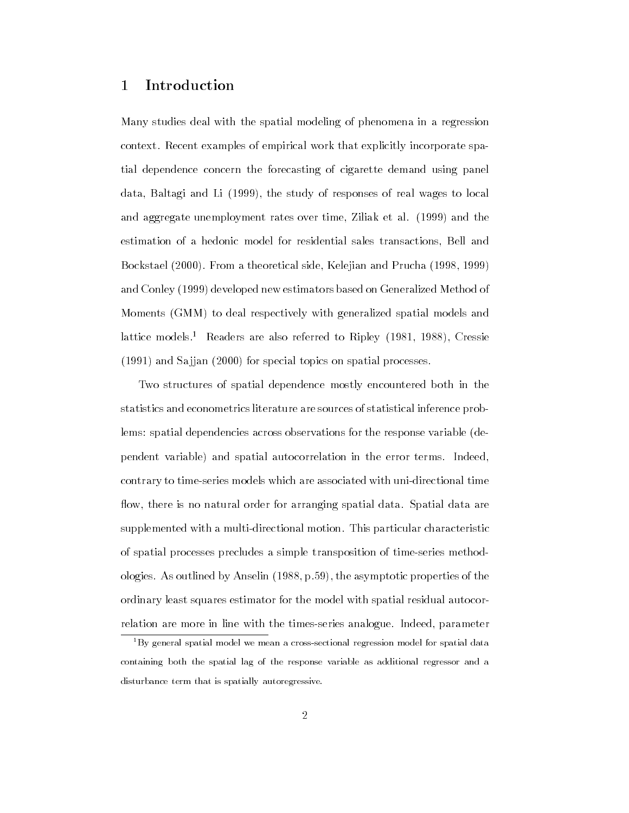# <sup>1</sup> Introduction

Many studies deal with the spatial modeling of phenomena in a regression context. Recent examples of empirical work that explicitly incorporate spatial dependence concern the forecasting of cigarette demand using panel data, Baltagi and Li (1999), the study of responses of real wages to local and aggregate unemployment rates over time, Ziliak et al. (1999) and the estimation of a hedonic model for residential sales transactions, Bell and Bockstael (2000). From a theoretical side, Kelejian and Prucha (1998, 1999) and Conley (1999) developed new estimators based on Generalized Method of Moments (GMM) to deal respectively with generalized spatial models and lattice models.<sup>1</sup> Readers are also referred to Ripley  $(1981, 1988)$ , Cressie (1991) and Sa jjan (2000) for special topics on spatial processes.

Two structures of spatial dependence mostly encountered both in the statistics and econometrics literature are sources of statistical inference problems: spatial dependencies across observations for the response variable (dependent variable) and spatial autocorrelation in the error terms. Indeed, contrary to time-series models which are associated with uni-directional time flow, there is no natural order for arranging spatial data. Spatial data are supplemented with a multi-directional motion. This particular characteristic of spatial processes precludes a simple transposition of time-series methodologies. As outlined by Anselin (1988, p.59), the asymptotic properties of the ordinary least squares estimator for the model with spatial residual autocorrelation are more in line with the times-series analogue. Indeed, parameter

 $1By$  general spatial model we mean a cross-sectional regression model for spatial data containing both the spatial lag of the response variable as additional regressor and a disturbance term that is spatially autoregressive.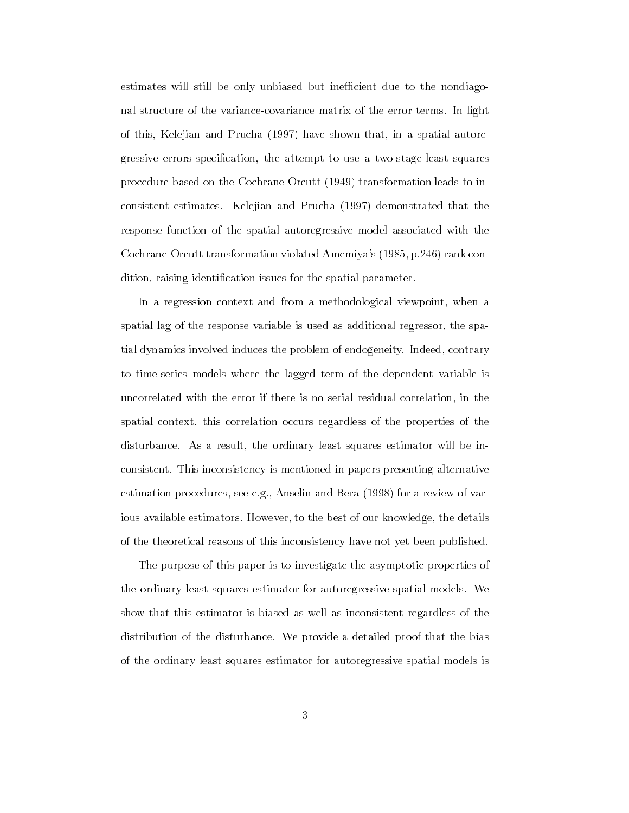estimates will still be only unbiased but inefficient due to the nondiagonal structure of the variance-covariance matrix of the error terms. In light of this, Kelejian and Prucha (1997) have shown that, in a spatial autoregressive errors specification, the attempt to use a two-stage least squares procedure based on the Cochrane-Orcutt (1949) transformation leads to inconsistent estimates. Kelejian and Prucha (1997) demonstrated that the response function of the spatial autoregressive model associated with the Cochrane-Orcutt transformation violated Amemiya's (1985, p.246) rank condition, raising identification issues for the spatial parameter.

In a regression context and from a methodological viewpoint, when a spatial lag of the response variable is used as additional regressor, the spatial dynamics involved induces the problem of endogeneity. Indeed, contrary to time-series models where the lagged term of the dependent variable is uncorrelated with the error if there is no serial residual correlation, in the spatial context, this correlation occurs regardless of the properties of the disturbance. As a result, the ordinary least squares estimator will be inconsistent. This inconsistency is mentioned in papers presenting alternative estimation procedures, see e.g., Anselin and Bera (1998) for a review of various available estimators. However, to the best of our knowledge, the details of the theoretical reasons of this inconsistency have not yet been published.

The purpose of this paper is to investigate the asymptotic properties of the ordinary least squares estimator for autoregressive spatial models. We show that this estimator is biased as well as inconsistent regardless of the distribution of the disturbance. We provide a detailed proof that the bias of the ordinary least squares estimator for autoregressive spatial models is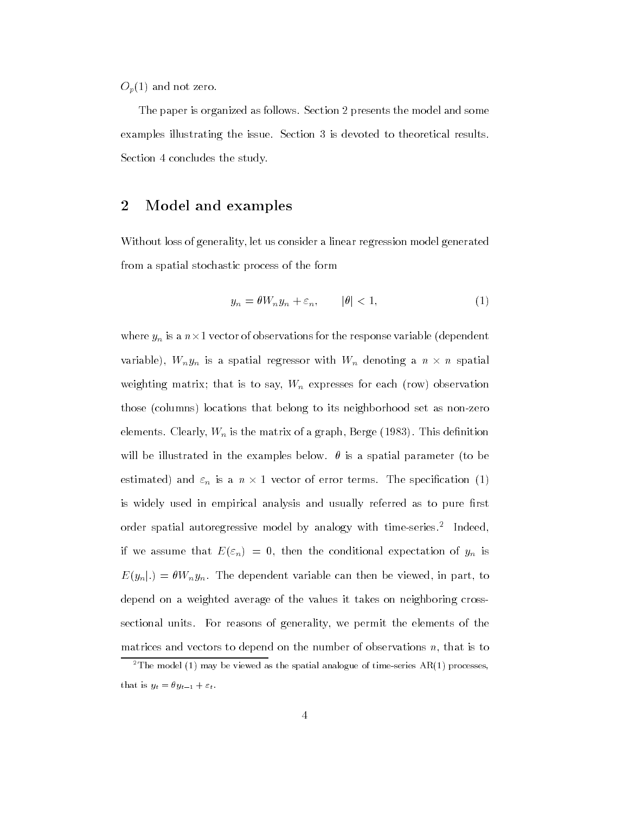$O_p(1)$  and not zero.

The paper is organized as follows. Section 2 presents the model and some examples illustrating the issue. Section 3 is devoted to theoretical results. Section 4 concludes the study.

# <sup>2</sup> Model and examples

Without loss of generality, let us consider a linear regression model generated from a spatial stochastic process of the form

$$
y_n = \theta W_n y_n + \varepsilon_n, \qquad |\theta| < 1,\tag{1}
$$

where  $y_n$  is a  $n \times 1$  vector of observations for the response variable (dependent variable),  $W_n y_n$  is a spatial regressor with  $W_n$  denoting a  $n \times n$  spatial weighting matrix; that is to say,  $W_n$  expresses for each (row) observation those (columns) locations that belong to its neighborhood set as non-zero elements. Clearly,  $W_n$  is the matrix of a graph, Berge (1983). This definition will be illustrated in the examples below.  $\theta$  is a spatial parameter (to be estimated) and  $\varepsilon_n$  is a  $n \times 1$  vector of error terms. The specification (1) is widely used in empirical analysis and usually referred as to pure first order spatial autoregressive model by analogy with time-series.2 Indeed, if we assume that  $E(\varepsilon_n)=0$ , then the conditional expectation of  $y_n$  is  $E(y_n|.) = \theta W_n y_n$ . The dependent variable can then be viewed, in part, to depend on a weighted average of the values it takes on neighboring crosssectional units. For reasons of generality, we permit the elements of the matrices and vectors to depend on the number of observations  $n$ , that is to

<sup>&</sup>lt;sup>2</sup>The model (1) may be viewed as the spatial analogue of time-series  $AR(1)$  processes, that is  $y_t = \theta y_{t-1} + \varepsilon_t$ .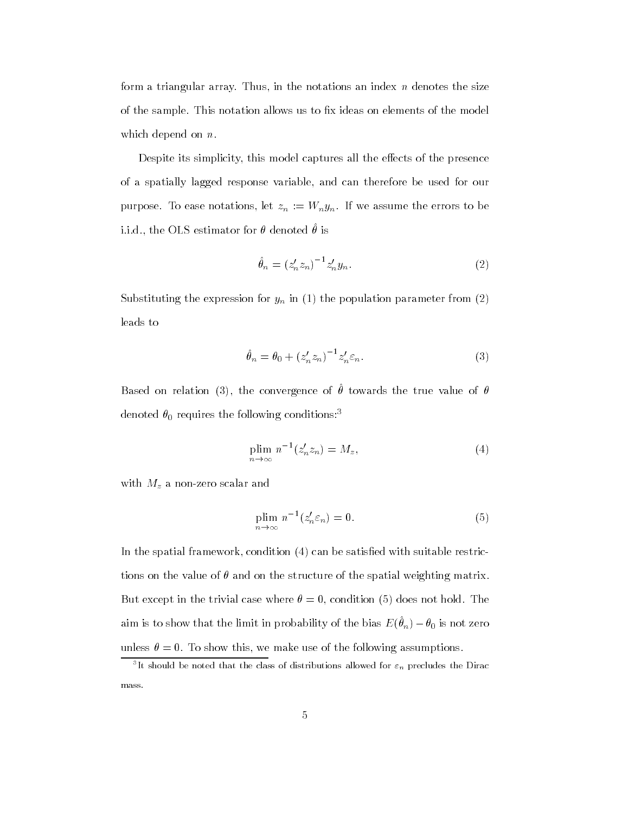form a triangular array. Thus, in the notations an index  $n$  denotes the size of the sample. This notation allows us to fix ideas on elements of the model which depend on  $n$ .

Despite its simplicity, this model captures all the effects of the presence of a spatially lagged response variable, and can therefore be used for our purpose. To ease notations, let  $z_n := W_n y_n$ . If we assume the errors to be i.i.d., the OLS estimator for  $\sigma$  denoted  $\sigma$  is

$$
\hat{\theta}_n = (z'_n z_n)^{-1} z'_n y_n.
$$
 (2)

Substituting the expression for  $y_n$  in (1) the population parameter from (2) leads to

$$
\hat{\theta}_n = \theta_0 + \left(z_n' z_n\right)^{-1} z_n' \varepsilon_n. \tag{3}
$$

Dased on relation (5), the convergence of  $\sigma$  towards the true value of  $\sigma$ denoted  $\theta_0$  requires the following conditions:<sup>3</sup>

$$
\underset{n \to \infty}{\text{plim}} n^{-1}(z_n' z_n) = M_z,\tag{4}
$$

with  $M_z$  a non-zero scalar and

$$
\text{plim}_{n \to \infty} n^{-1} (z_n' \varepsilon_n) = 0. \tag{5}
$$

In the spatial framework, condition  $(4)$  can be satisfied with suitable restrictions on the value of  $\theta$  and on the structure of the spatial weighting matrix. But except in the trivial case where  $\theta = 0$ , condition (5) does not hold. The aim is to show that the limit in probability of the bias  $E(\nu_n) = \nu_0$  is not zero unless  $\theta = 0$ . To show this, we make use of the following assumptions.

The should be noted that the class of distributions allowed for  $\varepsilon_n$  precludes the Dirac  $\overline{\phantom{a}}$ mass.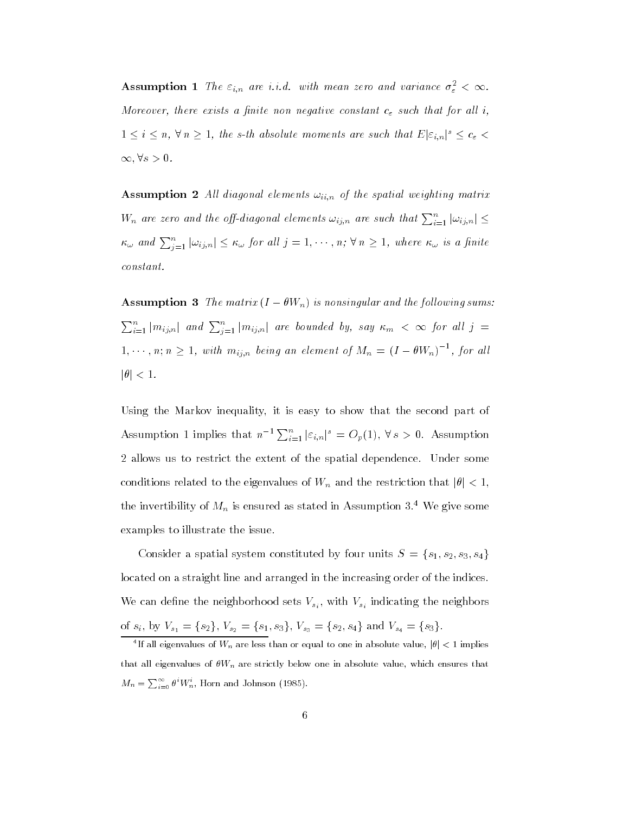**Assumption 1** The  $\varepsilon_{i,n}$  are i.i.d. with mean zero and variance  $\sigma_{\varepsilon}^2 < \infty$ . Moreover, there exists a finite non negative constant  $c_{\varepsilon}$  such that for all i,  $1 \leq i \leq n, \forall n \geq 1,$  the s-th absolute moments are such that  $E|\varepsilon_{i,n}|^s \leq c_{\varepsilon}$  $\infty, \forall s > 0.$ 

**Assumption 2** All diagonal elements  $\omega_{ii,n}$  of the spatial weighting matrix  $W_n$  are zero and the off-diagonal elements  $\omega_{ij,n}$  are such that  $\sum_{i=1}^n |\omega_{ij,n}| \leq 1$  $\kappa_\omega$  and  $\sum_{i=1}^n |\omega_{ij,n}| \leq \kappa_\omega$  for all  $j=1,\cdots,n;$   $\forall\, n\geq 1,$  where  $\kappa_\omega$  is a finite constant.

**Assumption 3** The matrix  $(I - \theta W_n)$  is nonsingular and the following sums:  $\sum_{i=1}^n |m_{ij,n}|$  and  $\sum_{i=1}^n |m_{ij,n}|$  are bounded by, say  $\kappa_m$   $<$   $\infty$  for all  $j$   $=$  $1, \cdots, n; n \geq 1$ , with  $m_{i,j,n}$  being an element of  $M_n = (I - \theta W_n)^{-1}$ , for all  $|\theta| < 1$ .

Using the Markov inequality, it is easy to show that the second part of Assumption 1 implies that  $n^{-1} \sum_{i=1}^n |\varepsilon_{i,n}|^s = O_p(1)$ ,  $\forall s > 0$ . Assumption 2 allows us to restrict the extent of the spatial dependence. Under some conditions related to the eigenvalues of  $W_n$  and the restriction that  $|\theta| < 1$ , the invertibility of  $M_n$  is ensured as stated in Assumption 3.<sup>4</sup> We give some examples to illustrate the issue.

Consider a spatial system constituted by four units  $S = \{s_1, s_2, s_3, s_4\}$ located on a straight line and arranged in the increasing order of the indices. We can define the neighborhood sets  $V_{s_i}$ , with  $V_{s_i}$  indicating the neighbors of  $s_i$ , by  $V_{s_1} = \{s_2\}$ ,  $V_{s_2} = \{s_1, s_3\}$ ,  $V_{s_3} = \{s_2, s_4\}$  and  $V_{s_4} = \{s_3\}$ .

The all eigenvalues of W<sub>n</sub> are less than or equal to one in absolute value,  $|v| < 1$  implies that all eigenvalues of  $\theta W_n$  are strictly below one in absolute value, which ensures that  $M_n = \sum_{i=0}^{\infty} \theta^i W_n^i$ , Horn and Johnson (1985).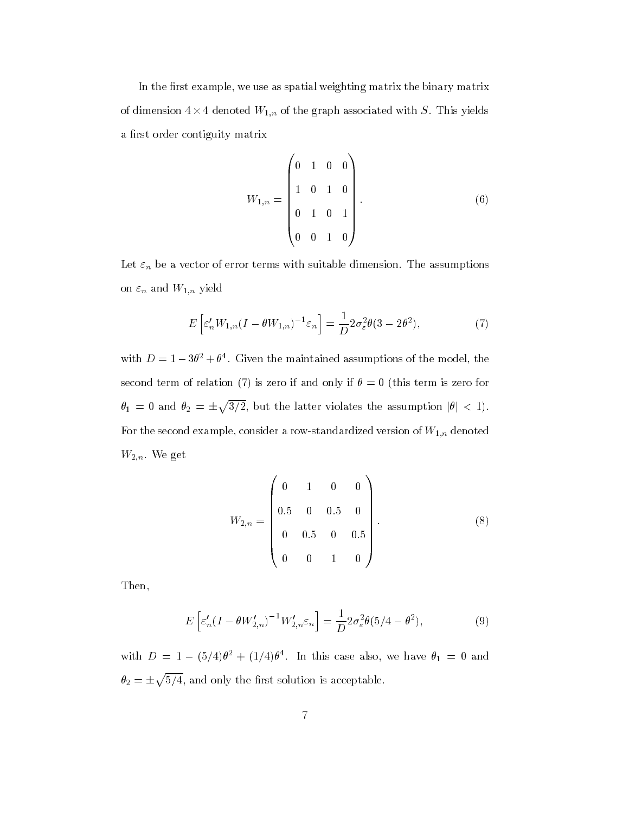In the first example, we use as spatial weighting matrix the binary matrix of dimension 4  $\times$  4 denoted  ${W}_{1,n}$  of the graph associated with  $S.$  This yields a first order contiguity matrix

$$
W_{1,n} = \begin{pmatrix} 0 & 1 & 0 & 0 \\ 1 & 0 & 1 & 0 \\ 0 & 1 & 0 & 1 \\ 0 & 0 & 1 & 0 \end{pmatrix}.
$$
 (6)

Let  $\varepsilon_n$  be a vector of error terms with suitable dimension. The assumptions on  $\varepsilon_n$  and  $W_{1,n}$  yield

$$
E\left[\varepsilon'_{n}W_{1,n}(I-\theta W_{1,n})^{-1}\varepsilon_{n}\right] = \frac{1}{D}2\sigma_{\varepsilon}^{2}\theta(3-2\theta^{2}),\tag{7}
$$

with  $D = 1 - 30^\circ + 0^\circ$ . Given the maintained assumptions of the model, the second term of relation (7) is zero if and only if  $\theta = 0$  (this term is zero for  $\theta_1 = 0$  and  $\theta_2 = \pm \sqrt{3/2}$ , but the latter violates the assumption  $|\theta| < 1$ . For the second example, consider a row-standardized version of  $W_{1,n}$  denoted  $W_{2,n}$ . We get

$$
W_{2,n} = \begin{pmatrix} 0 & 1 & 0 & 0 \\ 0.5 & 0 & 0.5 & 0 \\ 0 & 0.5 & 0 & 0.5 \\ 0 & 0 & 1 & 0 \end{pmatrix}.
$$
 (8)

Then,

$$
E\left[\varepsilon_n'(I - \theta W_{2,n}')^{-1} W_{2,n}' \varepsilon_n\right] = \frac{1}{D} 2\sigma_\varepsilon^2 \theta(5/4 - \theta^2),\tag{9}
$$

with  $D = 1 - (3/4) \theta^2 + (1/4) \theta^2$ . In this case also, we have  $\theta_1 = 0$  and  $\theta_2=\pm\sqrt{5/4}$ , and only the first solution is acceptable.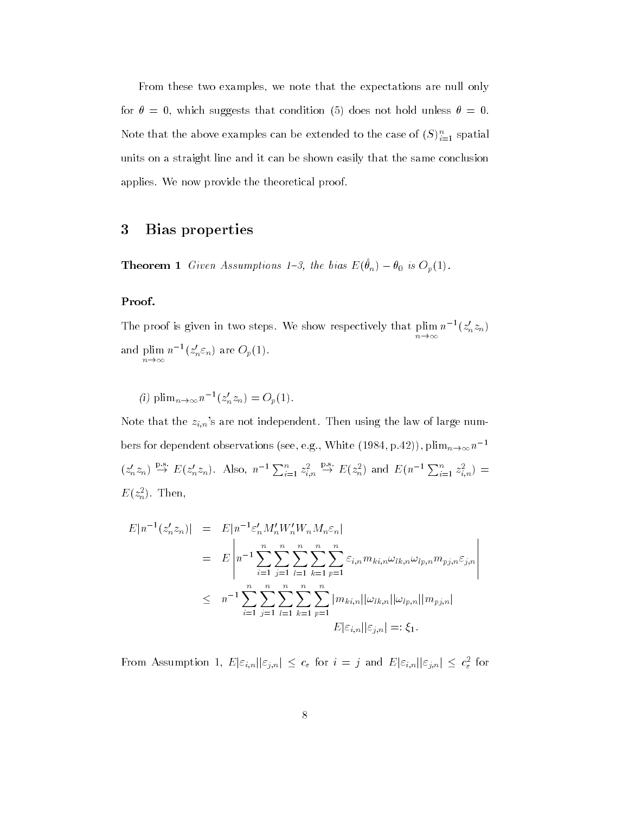From these two examples, we note that the expectations are null only for  $\theta = 0$ , which suggests that condition (5) does not hold unless  $\theta = 0$ . Note that the above examples can be extended to the case of  $(S)_{i=1}^{\infty}$  spatial units on a straight line and it can be shown easily that the same conclusion applies. We now provide the theoretical proof.

# <sup>3</sup> Bias properties

**Theorem 1** Given Assumptions 1-5, the bias  $E(\theta_n) = \theta_0$  is  $\mathcal{O}_p(1)$ .

#### Proof.

The proof is given in two steps. We show respectively that plim n!1  $n^{-1}(z_n^2z_n)$ and and planning  $\sim$ n!1  $n^{-1}(z_n \varepsilon_n)$  are  $O_p(1)$ .

(1)  $\text{plim}_{n \to \infty} n$   $(z_n z_n) = O_p(1)$ .

Note that the  $z_{i,n}$ 's are not independent. Then using the law of large numbers for dependent observations (see, e.g., White  $(1984, p.42)$ ), plim $_{n\to\infty}n^{-1}$  $(z'_n z_n) \rightarrow E(z'_n z_n)$ . Also,  $n^{-1} \sum_{i=1}^n z_{i,n}^2 \rightarrow$  $\stackrel{p}{\to} E(z_n^2)$  and  $E(n^{-1}\sum_{i=1}^n z_{i,n}^2) =$  $L(z_n^-)$ . Then,

$$
E|n^{-1}(z'_{n}z_{n})| = E|n^{-1}\varepsilon'_{n}M'_{n}W'_{n}W_{n}M_{n}\varepsilon_{n}|
$$
  
\n
$$
= E\left|n^{-1}\sum_{i=1}^{n}\sum_{j=1}^{n}\sum_{l=1}^{n}\sum_{k=1}^{n}\sum_{p=1}^{n}\varepsilon_{i,n}m_{ki,n}\omega_{lk,n}\omega_{lp,n}m_{pj,n}\varepsilon_{j,n}\right|
$$
  
\n
$$
\leq n^{-1}\sum_{i=1}^{n}\sum_{j=1}^{n}\sum_{l=1}^{n}\sum_{k=1}^{n}\sum_{p=1}^{n}|m_{ki,n}||\omega_{lk,n}||\omega_{lp,n}||m_{pj,n}|
$$
  
\n
$$
E|\varepsilon_{i,n}||\varepsilon_{j,n}| =: \xi_{1}.
$$

From Assumption 1,  $E[\varepsilon_{i,n}||\varepsilon_{j,n}] \leq c_{\varepsilon}$  for  $i = j$  and  $E[\varepsilon_{i,n}||\varepsilon_{j,n}] \leq c_{\varepsilon}^2$  for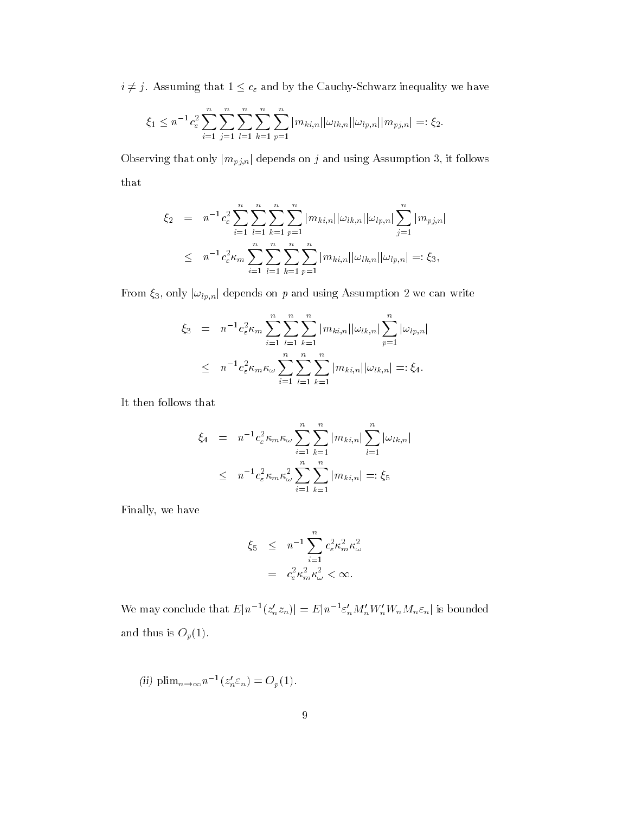$i\neq j.$  Assuming that  $1\leq c_\varepsilon$  and by the Cauchy-Schwarz inequality we have

$$
\xi_1 \leq n^{-1} c_{\varepsilon}^2 \sum_{i=1}^n \sum_{j=1}^n \sum_{l=1}^n \sum_{k=1}^n \sum_{p=1}^n |m_{ki,n}| |\omega_{lk,n}| |\omega_{lp,n}| |m_{pj,n}| =: \xi_2.
$$

Observing that only  $|m_{pj,n}|$  depends on j and using Assumption 3, it follows that

$$
\xi_2 = n^{-1} c_{\varepsilon}^2 \sum_{i=1}^n \sum_{l=1}^n \sum_{k=1}^n \sum_{p=1}^n |m_{ki,n}| |\omega_{lk,n}| |\omega_{lp,n}| \sum_{j=1}^n |m_{pj,n}|
$$
  

$$
\leq n^{-1} c_{\varepsilon}^2 \kappa_m \sum_{i=1}^n \sum_{l=1}^n \sum_{k=1}^n \sum_{p=1}^n |m_{ki,n}| |\omega_{lk,n}| |\omega_{lp,n}| =: \xi_3,
$$

From  $\xi_3$ , only  $|\omega_{lp,n}|$  depends on p and using Assumption 2 we can write

$$
\xi_3 = n^{-1} c_{\varepsilon}^2 \kappa_m \sum_{i=1}^n \sum_{l=1}^n \sum_{k=1}^n |m_{ki,n}| |\omega_{lk,n}| \sum_{p=1}^n |\omega_{lp,n}|
$$
  

$$
\leq n^{-1} c_{\varepsilon}^2 \kappa_m \kappa_\omega \sum_{i=1}^n \sum_{l=1}^n \sum_{k=1}^n |m_{ki,n}| |\omega_{lk,n}| =: \xi_4.
$$

It then follows that

$$
\xi_4 = n^{-1} c_{\varepsilon}^2 \kappa_m \kappa_{\omega} \sum_{i=1}^n \sum_{k=1}^n |m_{ki,n}| \sum_{l=1}^n |\omega_{lk,n}|
$$
  

$$
\leq n^{-1} c_{\varepsilon}^2 \kappa_m \kappa_{\omega}^2 \sum_{i=1}^n \sum_{k=1}^n |m_{ki,n}| =: \xi_5
$$

Finally, we have

$$
\xi_5 \leq n^{-1} \sum_{i=1}^n c_\varepsilon^2 \kappa_m^2 \kappa_\omega^2
$$
  
=  $c_\varepsilon^2 \kappa_m^2 \kappa_\omega^2 < \infty$ .

We may conclude that  $E|n^{-1}(z_n'z_n)| = E|n^{-1}\varepsilon_n'M_n'W_n'W_nM_n\varepsilon_n|$  is bounded and thus is  $O_p(1)$ .

(ii) 
$$
\text{plim}_{n\to\infty} n^{-1}(z'_n \varepsilon_n) = O_p(1)
$$
.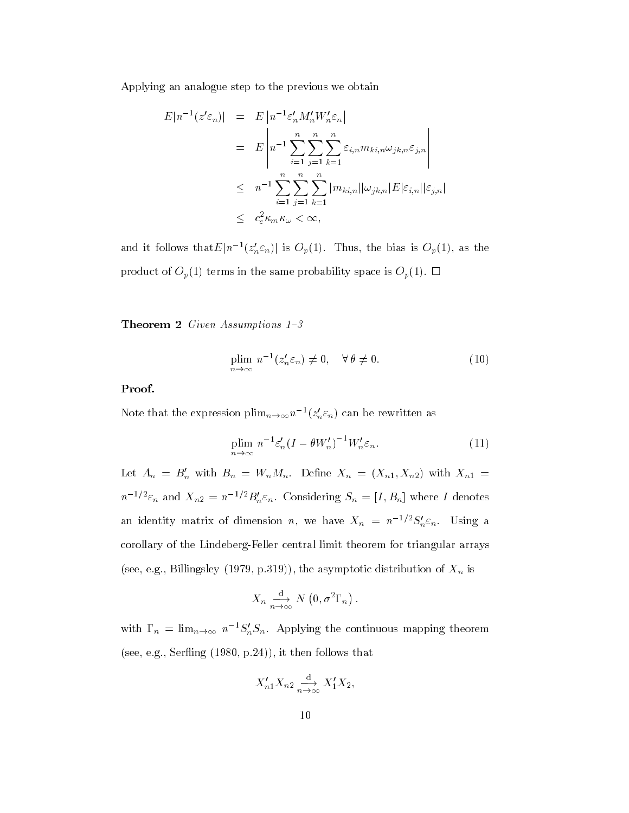Applying an analogue step to the previous we obtain

$$
E|n^{-1}(z'\varepsilon_n)| = E\left|n^{-1}\varepsilon'_n M'_n W'_n \varepsilon_n\right|
$$
  
\n
$$
= E\left|n^{-1}\sum_{i=1}^n \sum_{j=1}^n \sum_{k=1}^n \varepsilon_{i,n} m_{ki,n} \omega_{jk,n} \varepsilon_{j,n}\right|
$$
  
\n
$$
\leq n^{-1} \sum_{i=1}^n \sum_{j=1}^n \sum_{k=1}^n |m_{ki,n}| |\omega_{jk,n}| E|\varepsilon_{i,n}| |\varepsilon_{j,n}|
$$
  
\n
$$
\leq c_\varepsilon^2 \kappa_m \kappa_\omega < \infty,
$$

and it follows that $E|n^{-1}(z_n^{\prime} \varepsilon_n)|$  is  $O_p(1)$ . Thus, the bias is  $O_p(1)$ , as the product of  $O_p(1)$  terms in the same probability space is  $O_p(1)$ .  $\Box$ 

**Theorem 2** Given Assumptions  $1-3$ 

$$
\underset{n \to \infty}{\text{plim}} n^{-1}(z_n' \varepsilon_n) \neq 0, \quad \forall \, \theta \neq 0. \tag{10}
$$

### Proof.

Note that the expression  $\text{pmin}_{n\to\infty}n^{-1}(z_n\varepsilon_n)$  can be rewritten as

$$
\underset{n \to \infty}{\text{plim}} n^{-1} \varepsilon_n' (I - \theta W_n')^{-1} W_n' \varepsilon_n. \tag{11}
$$

Let  $A_n = B'_n$  with  $B_n = W_n M_n$ . Define  $X_n = (X_{n1}, X_{n2})$  with  $X_{n1} =$  $n^{-1/2}\varepsilon_n$  and  $X_{n2} = n^{-1/2}B_n'\varepsilon_n$ . Considering  $S_n = [I, B_n]$  where I denotes an identity matrix of dimension n, we have  $X_n = n^{-1/2} S_n' \varepsilon_n$ . Using a corollary of the Lindeberg-Feller central limit theorem for triangular arrays (see, e.g., Billingsley (1979, p.319)), the asymptotic distribution of  $X_n$  is

$$
X_n \underset{n \to \infty}{\xrightarrow{d}} N(0, \sigma^2 \Gamma_n).
$$

with  $\Gamma_n = \lim_{n \to \infty} n^{-1} S_n S_n$ . Applying the continuous mapping theorem (see, e.g., Serfling  $(1980, p.24)$ ), it then follows that

$$
X_{n1}'X_{n2} \xrightarrow[n \to \infty]{\text{d}} X_1'X_2,
$$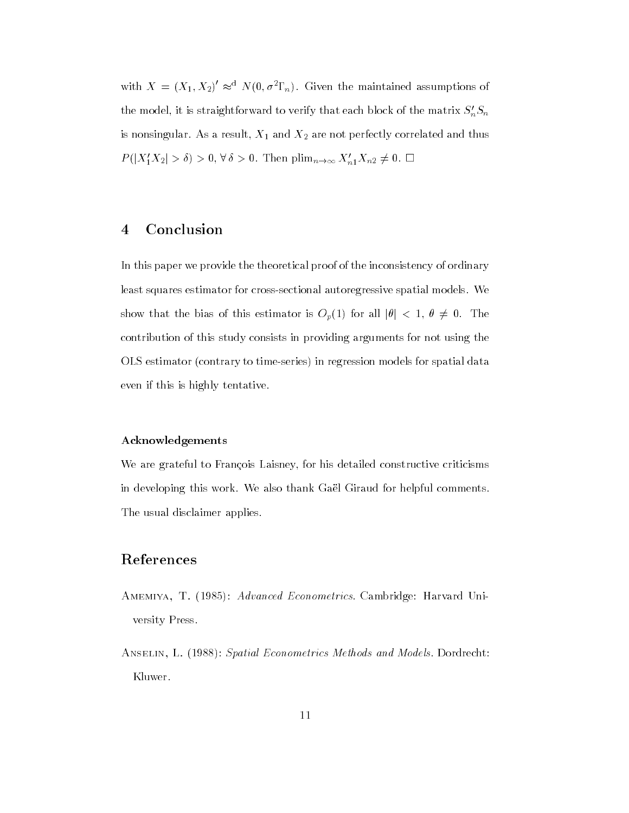with  $X = (X_1, X_2) \approx^{\alpha} N(0, \sigma^2 \Gamma_n)$ . Given the maintained assumptions of the model, it is straightforward to verify that each block of the matrix  $S_n^\prime S_n$ is nonsingular. As a result,  $X_1$  and  $X_2$  are not perfectly correlated and thus  $P(|X_1'X_2| > \delta) > 0, \forall \delta > 0$ . Then  $\text{plim}_{n \to \infty} X_{n1}'X_{n2} \neq 0$ .  $\Box$ 

# <sup>4</sup> Conclusion

In this paper we provide the theoretical proof of the inconsistency of ordinary least squares estimator for cross-sectional autoregressive spatial models. We show that the bias of this estimator is  $O_p(1)$  for all  $|\theta| < 1$ ,  $\theta \neq 0$ . The contribution of this study consists in providing arguments for not using the OLS estimator (contrary to time-series) in regression models for spatial data even if this is highly tentative.

#### Acknowledgements

We are grateful to François Laisney, for his detailed constructive criticisms in developing this work. We also thank Gaël Giraud for helpful comments. The usual disclaimer applies.

# References

- AMEMIYA, T. (1985): Advanced Econometrics. Cambridge: Harvard University Press.
- ANSELIN, L. (1988): Spatial Econometrics Methods and Models. Dordrecht: Kluwer.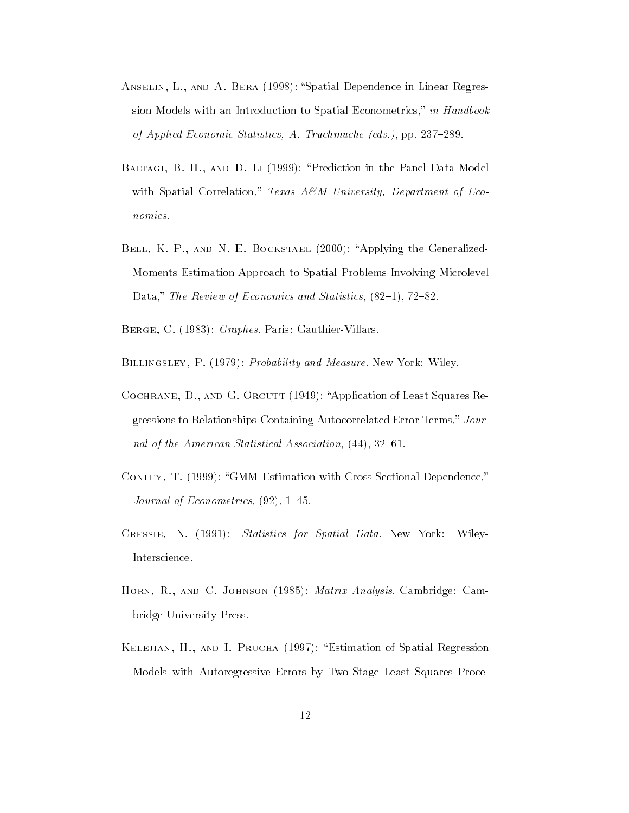- ANSELIN, L., AND A. BERA (1998): "Spatial Dependence in Linear Regression Models with an Introduction to Spatial Econometrics," in Handbook of Applied Economic Statistics, A. Truchmuche (eds.), pp.  $237-289$ .
- BALTAGI, B. H., AND D. LI (1999): "Prediction in the Panel Data Model with Spatial Correlation," Texas  $A\mathcal{B}M$  University, Department of Economics.
- BELL, K. P., AND N. E. BOCKSTAEL (2000): "Applying the Generalized-Moments Estimation Approach to Spatial Problems Involving Microlevel Data," The Review of Economics and Statistics,  $(82-1)$ ,  $72-82$ .
- BERGE, C. (1983): *Graphes*. Paris: Gauthier-Villars.

BILLINGSLEY, P. (1979): *Probability and Measure*. New York: Wiley.

- COCHRANE, D., AND G. ORCUTT (1949): "Application of Least Squares Regressions to Relationships Containing Autocorrelated Error Terms," Journal of the American Statistical Association,  $(44)$ , 32-61.
- CONLEY, T. (1999): "GMM Estimation with Cross Sectional Dependence," Journal of Econometrics,  $(92)$ , 1–45.
- Cressie, N. (1991): Statistics for Spatial Data. New York: Wiley-Interscience.
- HORN, R., AND C. JOHNSON (1985): *Matrix Analysis*. Cambridge: Cambridge University Press.
- Kelejian, H., and I. Prucha (1997): Estimation of Spatial Regression Models with Autoregressive Errors by Two-Stage Least Squares Proce-